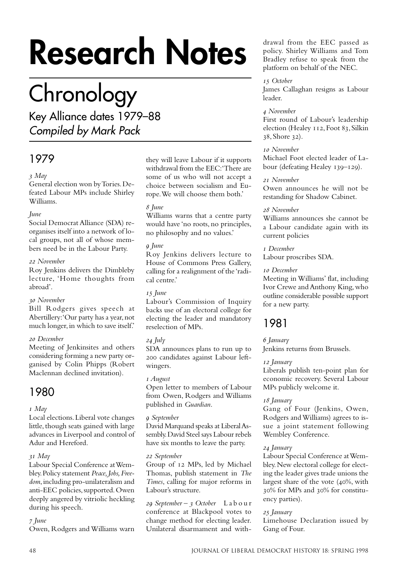# **Research Notes**

# **Chronology**

Key Alliance dates 1979–88 Compiled by Mark Pack

# 1979

# *May*

General election won by Tories. Defeated Labour MPs include Shirley Williams.

# *June*

Social Democrat Alliance (SDA) reorganises itself into a network of local groups, not all of whose members need be in the Labour Party.

## *November*

Roy Jenkins delivers the Dimbleby lecture, 'Home thoughts from abroad'.

# *November*

Bill Rodgers gives speech at Abertillery: 'Our party has a year, not much longer, in which to save itself.'

# *December*

Meeting of Jenkinsites and others considering forming a new party organised by Colin Phipps (Robert Maclennan declined invitation).

# 1980

 *May*

Local elections. Liberal vote changes little, though seats gained with large advances in Liverpool and control of Adur and Hereford.

# *May*

Labour Special Conference at Wembley. Policy statement *Peace, Jobs, Freedom*, including pro-unilateralism and anti-EEC policies, supported. Owen deeply angered by vitriolic heckling during his speech.

# *June*

Owen, Rodgers and Williams warn

they will leave Labour if it supports withdrawal from the EEC: 'There are some of us who will not accept a choice between socialism and Europe. We will choose them both.'

# *June*

Williams warns that a centre party would have 'no roots, no principles, no philosophy and no values.'

# *June*

Roy Jenkins delivers lecture to House of Commons Press Gallery, calling for a realignment of the 'radical centre.'

# *June*

Labour's Commission of Inquiry backs use of an electoral college for electing the leader and mandatory reselection of MPs.

# *July*

SDA announces plans to run up to 200 candidates against Labour leftwingers.

## *August*

Open letter to members of Labour from Owen, Rodgers and Williams published in *Guardian*.

# *September*

David Marquand speaks at Liberal Assembly. David Steel says Labour rebels have six months to leave the party.

## *September*

Group of 12 MPs, led by Michael Thomas, publish statement in *The Times*, calling for major reforms in Labour's structure.

 *September – October* Labour conference at Blackpool votes to change method for electing leader. Unilateral disarmament and withdrawal from the EEC passed as policy. Shirley Williams and Tom Bradley refuse to speak from the platform on behalf of the NEC.

## *October*

James Callaghan resigns as Labour leader.

# *November*

First round of Labour's leadership election (Healey 112, Foot 83, Silkin  $38,$  Shore  $32$ ).

# *November*

Michael Foot elected leader of Labour (defeating Healey 139–129).

# *November*

Owen announces he will not be restanding for Shadow Cabinet.

# *November*

Williams announces she cannot be a Labour candidate again with its current policies

## *December*

Labour proscribes SDA.

# *December*

Meeting in Williams' flat, including Ivor Crewe and Anthony King, who outline considerable possible support for a new party.

# 1981

 *January* Jenkins returns from Brussels.

# *January*

Liberals publish ten-point plan for economic recovery. Several Labour MPs publicly welcome it.

# *January*

Gang of Four (Jenkins, Owen, Rodgers and Williams) agrees to issue a joint statement following Wembley Conference.

# *January*

Labour Special Conference at Wembley. New electoral college for electing the leader gives trade unions the largest share of the vote  $(40\%, \text{with})$ % for MPs and % for constituency parties).

# *January*

Limehouse Declaration issued by Gang of Four.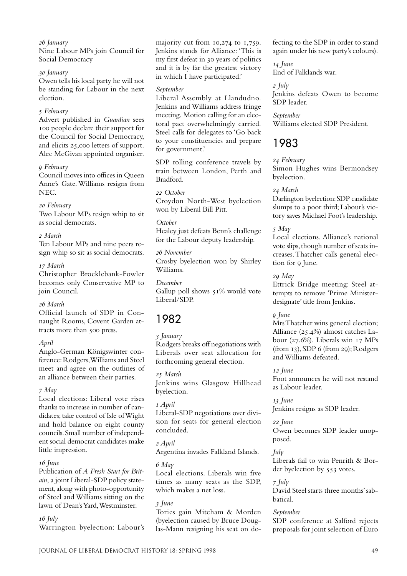#### *January*

Nine Labour MPs join Council for Social Democracy

#### *January*

Owen tells his local party he will not be standing for Labour in the next election.

#### *February*

Advert published in *Guardian* sees people declare their support for the Council for Social Democracy, and elicits 25,000 letters of support. Alec McGivan appointed organiser.

#### *February*

Council moves into offices in Queen Anne's Gate. Williams resigns from NEC.

#### *February*

Two Labour MPs resign whip to sit as social democrats.

#### *March*

Ten Labour MPs and nine peers resign whip so sit as social democrats.

#### *March*

Christopher Brocklebank-Fowler becomes only Conservative MP to join Council.

#### *March*

Official launch of SDP in Connaught Rooms, Covent Garden attracts more than 500 press.

#### *April*

Anglo-German Königswinter conference: Rodgers, Williams and Steel meet and agree on the outlines of an alliance between their parties.

#### *May*

Local elections: Liberal vote rises thanks to increase in number of candidates; take control of Isle of Wight and hold balance on eight county councils. Small number of independent social democrat candidates make little impression.

#### *June*

Publication of *A Fresh Start for Britain*, a joint Liberal-SDP policy statement, along with photo-opportunity of Steel and Williams sitting on the lawn of Dean's Yard, Westminster.

 *July*

Warrington byelection: Labour's

majority cut from  $10,274$  to  $1,759$ . Jenkins stands for Alliance: 'This is my first defeat in 30 years of politics and it is by far the greatest victory in which I have participated.'

#### *September*

Liberal Assembly at Llandudno. Jenkins and Williams address fringe meeting. Motion calling for an electoral pact overwhelmingly carried. Steel calls for delegates to 'Go back to your constituencies and prepare for government.'

SDP rolling conference travels by train between London, Perth and Bradford.

 *October* Croydon North-West byelection won by Liberal Bill Pitt.

#### *October*

Healey just defeats Benn's challenge for the Labour deputy leadership.

### *November*

Crosby byelection won by Shirley Williams.

*December* Gallup poll shows  $51\%$  would vote Liberal/SDP.

# 1982

 *January*

Rodgers breaks off negotiations with Liberals over seat allocation for forthcoming general election.

 *March* Jenkins wins Glasgow Hillhead byelection.

 *April* Liberal-SDP negotiations over division for seats for general election concluded.

 *April* Argentina invades Falkland Islands.

#### *May*

Local elections. Liberals win five times as many seats as the SDP, which makes a net loss.

#### *June*

Tories gain Mitcham & Morden (byelection caused by Bruce Douglas-Mann resigning his seat on defecting to the SDP in order to stand again under his new party's colours).

 *June* End of Falklands war.

 *July* Jenkins defeats Owen to become SDP leader.

*September* Williams elected SDP President.

# 1983

 *February* Simon Hughes wins Bermondsey byelection.

#### *March*

Darlington byelection: SDP candidate slumps to a poor third; Labour's victory saves Michael Foot's leadership.

#### *May*

Local elections. Alliance's national vote slips, though number of seats increases. Thatcher calls general election for 9 June.

#### *May*

Ettrick Bridge meeting: Steel attempts to remove 'Prime Ministerdesignate' title from Jenkins.

 *June*

Mrs Thatcher wins general election; Alliance  $(25.4\%)$  almost catches Labour  $(27.6\%)$ . Liberals win  $17$  MPs  $(from 13)$ , SDP 6 (from 29); Rodgers and Williams defeated.

 *June* Foot announces he will not restand as Labour leader.

 *June* Jenkins resigns as SDP leader.

 *June* Owen becomes SDP leader unopposed.

*July* Liberals fail to win Penrith & Border byelection by 553 votes.

# *July*

David Steel starts three months' sabbatical.

#### *September*

SDP conference at Salford rejects proposals for joint selection of Euro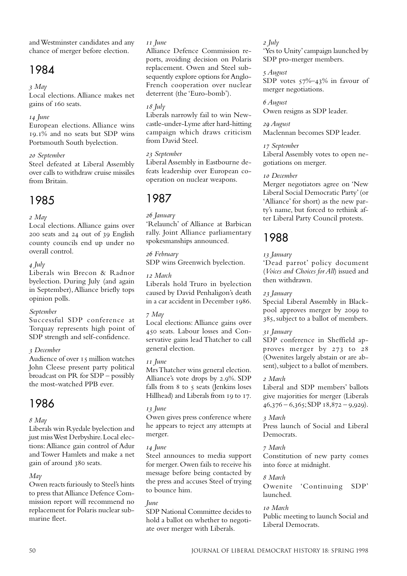and Westminster candidates and any chance of merger before election.

# 1984

## *May*

Local elections. Alliance makes net gains of 160 seats.

## *June*

European elections. Alliance wins 19.1% and no seats but SDP wins Portsmouth South byelection.

## *September*

Steel defeated at Liberal Assembly over calls to withdraw cruise missiles from Britain.

# 1985

 *May*

Local elections. Alliance gains over 200 seats and 24 out of 39 English county councils end up under no overall control.

# *July*

Liberals win Brecon & Radnor byelection. During July (and again in September), Alliance briefly tops opinion polls.

# *September*

Successful SDP conference at Torquay represents high point of SDP strength and self-confidence.

# *December*

Audience of over  $15$  million watches John Cleese present party political broadcast on PR for SDP – possibly the most-watched PPB ever.

# 1986

# *May*

Liberals win Ryedale byelection and just miss West Derbyshire. Local elections: Alliance gain control of Adur and Tower Hamlets and make a net gain of around 380 seats.

# *May*

Owen reacts furiously to Steel's hints to press that Alliance Defence Commission report will recommend no replacement for Polaris nuclear submarine fleet.

#### *June*

Alliance Defence Commission reports, avoiding decision on Polaris replacement. Owen and Steel subsequently explore options for Anglo-French cooperation over nuclear deterrent (the 'Euro-bomb').

# *July*

Liberals narrowly fail to win Newcastle-under-Lyme after hard-hitting campaign which draws criticism from David Steel.

## *September*

Liberal Assembly in Eastbourne defeats leadership over European cooperation on nuclear weapons.

# 1987

 *January*

'Relaunch' of Alliance at Barbican rally. Joint Alliance parliamentary spokesmanships announced.

 *February* SDP wins Greenwich byelection.

## *March*

Liberals hold Truro in byelection caused by David Penhaligon's death in a car accident in December 1986.

# *May*

Local elections: Alliance gains over 450 seats. Labour losses and Conservative gains lead Thatcher to call general election.

# *June*

Mrs Thatcher wins general election. Alliance's vote drops by  $2.9\%$ . SDP falls from  $8$  to  $\varsigma$  seats (Jenkins loses Hillhead) and Liberals from 19 to 17.

# *June*

Owen gives press conference where he appears to reject any attempts at merger.

# *June*

Steel announces to media support for merger. Owen fails to receive his message before being contacted by the press and accuses Steel of trying to bounce him.

# *June*

SDP National Committee decides to hold a ballot on whether to negotiate over merger with Liberals.

## *July*

'Yes to Unity' campaign launched by SDP pro-merger members.

# *August*

SDP votes  $57\%$  –43% in favour of merger negotiations.

 *August* Owen resigns as SDP leader.

 *August* Maclennan becomes SDP leader.

# *September*

Liberal Assembly votes to open negotiations on merger.

# *December*

Merger negotiators agree on 'New Liberal Social Democratic Party' (or 'Alliance' for short) as the new party's name, but forced to rethink after Liberal Party Council protests.

# 1988

# *January*

'Dead parrot' policy document (*Voices and Choices for All*) issued and then withdrawn.

# *January*

Special Liberal Assembly in Blackpool approves merger by 2099 to 385, subject to a ballot of members.

# *January*

SDP conference in Sheffield approves merger by  $273$  to  $28$ (Owenites largely abstain or are absent), subject to a ballot of members.

# *March*

Liberal and SDP members' ballots give majorities for merger (Liberals  $46,376 - 6,365$ ; SDP  $18,872 - 9,929$ ).

# *March*

Press launch of Social and Liberal Democrats.

# *March*

Constitution of new party comes into force at midnight.

# *March*

Owenite 'Continuing SDP' launched.

# *March*

Public meeting to launch Social and Liberal Democrats.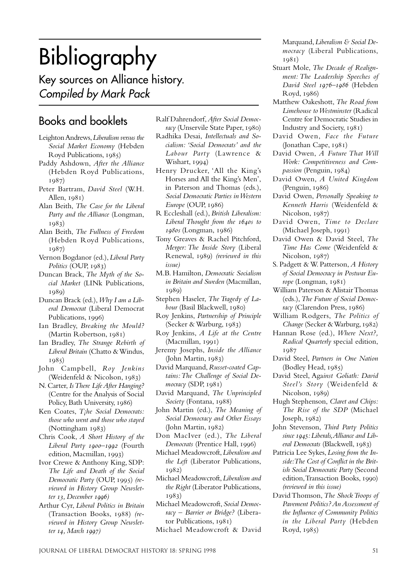# Bibliography

Key sources on Alliance history. Compiled by Mark Pack

# Books and booklets

- Leighton Andrews, *Liberalism versus the Social Market Economy* (Hebden Royd Publications, 1985)
- Paddy Ashdown, *After the Alliance* (Hebden Royd Publications, 1987)
- Peter Bartram, *David Steel* (W.H. Allen,  $1981$
- Alan Beith, *The Case for the Liberal Party and the Alliance* (Longman, 1983)
- Alan Beith, *The Fullness of Freedom* (Hebden Royd Publications, 1987)
- Vernon Bogdanor (ed.), *Liberal Party Politics* (OUP, 1983)
- Duncan Brack, *The Myth of the Social Market* (LINk Publications, 1989)
- Duncan Brack (ed.), *Why I am a Liberal Democrat* (Liberal Democrat Publications, 1996)
- Ian Bradley, *Breaking the Mould?*  $(Martin Robertson, 1981)$
- Ian Bradley, *The Strange Rebirth of Liberal Britain* (Chatto & Windus,  $1985)$
- John Campbell, *Roy Jenkins* (Weidenfeld & Nicolson, 1983)
- N. Carter, *Is There Life After Hanging?* (Centre for the Analysis of Social Policy, Bath University, 1986)
- Ken Coates, *T¡he Social Democrats: those who went and those who stayed* (Nottingham 1983)
- Chris Cook, *A Short History of the Liberal Party 1900-1992* (Fourth edition, Macmillan, 1993)
- Ivor Crewe & Anthony King, SDP: *The Life and Death of the Social Democratic Party* (OUP, 1995) (re*viewed in History Group Newsletter* 13, December 1996)
- Arthur Cyr, *Liberal Politics in Britain* (Transaction Books, 1988) (re*viewed in History Group Newsletter 14, March 1997)*

Ralf Dahrendorf, *After Social Democracy* (Unservile State Paper, 1980)

- Radhika Desai, *Intellectuals and Socialism: 'Social Democrats' and the Labour Party* (Lawrence & Wishart,  $1994$ )
- Henry Drucker, 'All the King's Horses and All the King's Men', in Paterson and Thomas (eds.), *Social Democratic Parties in Western Europe* (OUP, 1986)
- R Eccleshall (ed.), *British Liberalism: Liberal Thought from the s to* 1980s (Longman, 1986)
- Tony Greaves & Rachel Pitchford, *Merger: The Inside Story* (Liberal Renewal, 1989) (reviewed in this *issue)*
- M.B. Hamilton, *Democratic Socialism in Britain and Sweden* (Macmillan, 1080)
- Stephen Haseler, *The Tragedy of Labour* (Basil Blackwell, 1980)
- Roy Jenkins, *Partnership of Principle* (Secker & Warburg,  $1983$ )
- Roy Jenkins, *A Life at the Centre* (Macmillan, 1991)
- Jeremy Josephs, *Inside the Alliance*  $(John Martin, 1983)$
- David Marquand, *Russet-coated Captains: The Challenge of Social Democracy* (SDP, 1981)
- David Marquand, *The Unprincipled Society* (Fontana, 1988)
- John Martin (ed.), *The Meaning of Social Democracy and Other Essays*  $(John Martin, 1982)$
- Don MacIver (ed.), *The Liberal Democrats* (Prentice Hall, 1996)
- Michael Meadowcroft, *Liberalism and the Left* (Liberator Publications,  $1082)$
- Michael Meadowcroft, *Liberalism and the Right* (Liberator Publications,  $1083)$

Michael Meadowcroft, *Social Democracy – Barrier or Bridge?* (Liberator Publications,  $1981$ 

Michael Meadowcroft & David

Marquand, *Liberalism & Social Democracy* (Liberal Publications, 198<sub>1</sub>)

- Stuart Mole, *The Decade of Realignment: The Leadership Speeches of* David Steel 1976-1986 (Hebden Royd, 1986)
- Matthew Oakeshott, *The Road from Limehouse to Westminster* (Radical Centre for Democratic Studies in Industry and Society, 1981)
- David Owen, *Face the Future*  $($ Jonathan Cape,  $1981)$
- David Owen, *A Future That Will Work: Competitiveness and Compassion* (Penguin, 1984)
- David Owen, *A United Kingdom*  $($ Penguin,  $1986)$
- David Owen, *Personally Speaking to Kenneth Harris* (Weidenfeld & Nicolson, 1987)
- David Owen, *Time to Declare*  $(Michael Joseph, 1991)$
- David Owen & David Steel, *The Time Has Come* (Weidenfeld & Nicolson, 1987)
- S. Padgett & W. Patterson, *A History of Social Democracy in Postwar Eu* $rope$  (Longman,  $1981$ )
- William Paterson & Alistair Thomas (eds.), *The Future of Social Democracy* (Clarendon Press, 1986)
- William Rodgers, *The Politics of Change* (Secker & Warburg, 1982)
- Hannan Rose (ed.), *Where Next?, Radical Quarterly* special edition, 1987
- David Steel, *Partners in One Nation* (Bodley Head, 1985)
- David Steel, Aga*inst Goliath: David Steel's Story* (Weidenfeld & Nicolson, 1989)
- Hugh Stephenson, *Claret and Chips: The Rise of the SDP* (Michael Joseph,  $1982$
- John Stevenson, *Third Party Politics since : Liberals, Alliance and Liberal Democrats* (Blackwell, 1983)
- Patricia Lee Sykes, *Losing from the Inside: The Cost of Conflict in the British Social Democratic Party* (Second edition, Transaction Books, 1990) *(reviewed in this issue)*
- David Thomson, *The Shock Troops of Pavement Politics? An Assessment of the Influence of Community Politics in the Liberal Party* (Hebden Royd, 1985)